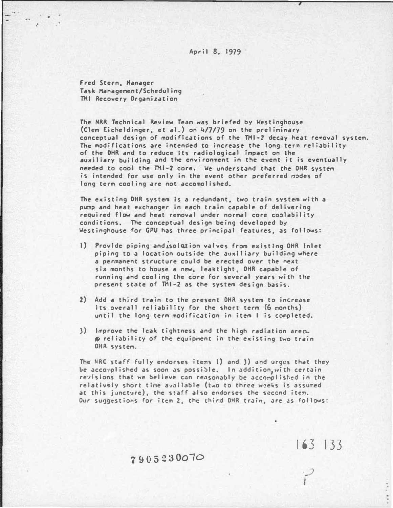### April 8, 1979

Fred Stern, Manager Task Management/Scheduling THI Recovery Organization

..

The NRR Technical Review Team was briefed by �estinghouse (Clem Eicheldinger, et al.) on 4/7/79 on the preliminary conceptual design of modifications of the THI-2 decay heat removal system. The modifications are intended to increase the long term reliability of the DHR and to reduce Its radiological Impact on the auxiliary building and the environment in the event it is eventually needed to cool the THI-2 core. �e understand that the OHR system is intended for use only in the event other preferred modes of long term cooling are not accomolished.

The existing DHR system is a redundant, two train system with a pum� and heat exchanger in each train capable of delivering required flow and heat removal under normal core co�lability conditions. The conceptual design being developed by �estinghouse for CPU has three principal features, as follows:

- 1) Provide piping and isolation valves from existing OHR Inlet piping to a location outside the auxiliary building where a permanent structure could be erected over the next six months to house a new, lea�tight, OHR capable of running and cooling the core for several years with the present state of THI-2 as the system design basis.
- 2) Add a third train to the present DHR system to increase Its overall reliability for the short term (6 months) until the long term modification in item I is completed.
- 3) Improve the leak tightness and the high radiation area.  $\alpha$  reliability of the equipment in the existing two train OHR system.

The NRC staff fully endorses items I) and 3) and urges that they be accomplished as soon as possible. In addition,with certain revisions that we believe can reasonably be accomplished in the relatively short time available (two to three weeks is assumed at this juncture), the staff also endorses the second item. Our su9gestions for item 2, the third OHR train, are as follows:

163 133

### 7�05::!30010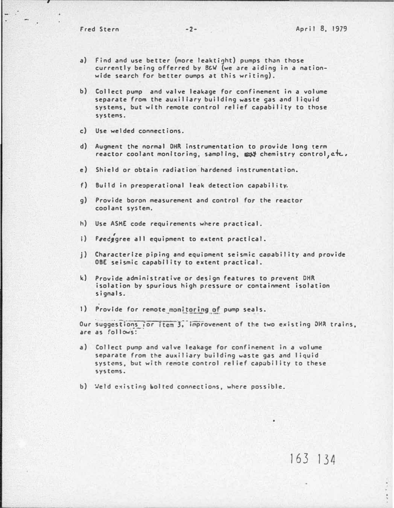a) Find and use better (more leaktight) pumps than those currently being offerred by B&W (we are aiding in a nationwide search for better oumps at this writing).

--,------------------------------------------------

- b) Collect pump and valve leakage for confinement in a volume separate from the auxiliary building waste gas and liquid systems, but with remote control relief capability to those systems.
- c) Use welded connections.
- d) Augment the normal OHR Instrumentation to provide long term reactor coolant monitoring, sampling,  $\mathbb{Q}$  chemistry control, etc,
- e) Shield or obtain radiation hardened instrumentation.
- f) Build in preoperational leak detection capability.
- g) Provide boron measurement and control for the reactor coolant system.
- h) Use ASKE code requirements where practical.
- i) Fredggree all equipment to extent practical.
- J) Characterize piping and equloment seismic capability and provide OBE seismic capability to extent practical.
- k) Provide administrative or design features to prevent DHR isolation by spurious high pressure or containment isolation signals.
- 1) Provide for remote monitoring of pump seals.

Our suggestions for item 3, improvement of the two existing DHR trains, are as follows:

- a) Collect pump and valve leakage for confinement in a volume separate from the auxiliary building waste gas and liquid systems, but with remote control relief capability to these systems.
- b) Weld existing bolted connections, where possible.

## 163 134